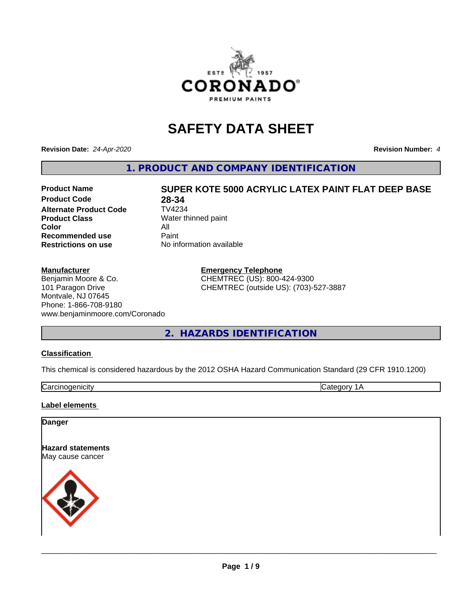

# **SAFETY DATA SHEET**

**Revision Date:** *24-Apr-2020* **Revision Number:** *4*

**1. PRODUCT AND COMPANY IDENTIFICATION**

#### **Product Name SUPER KOTE 5000 ACRYLIC LATEX PAINT FLAT DEEP BASE Product Code 28-34**<br>**Alternate Product Code** TV4234 **Alternate Product Code Product Class** Water thinned paint **Color** All<br> **Recommended use** Paint **Recommended use Restrictions on use** No information available

#### **Manufacturer**

Benjamin Moore & Co. 101 Paragon Drive Montvale, NJ 07645 Phone: 1-866-708-9180 www.benjaminmoore.com/Coronado

**Emergency Telephone** CHEMTREC (US): 800-424-9300 CHEMTREC (outside US): (703)-527-3887

**2. HAZARDS IDENTIFICATION**

#### **Classification**

This chemical is considered hazardous by the 2012 OSHA Hazard Communication Standard (29 CFR 1910.1200)

Carcinogenicity **Category 1A** 

#### **Label elements**

#### **Danger**

**Hazard statements** May cause cancer

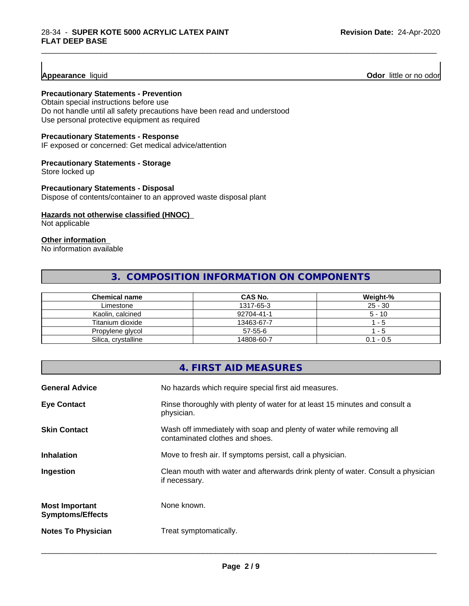**Precautionary Statements - Prevention**

Obtain special instructions before use Do not handle until all safety precautions have been read and understood Use personal protective equipment as required

#### **Precautionary Statements - Response**

IF exposed or concerned: Get medical advice/attention

#### **Precautionary Statements - Storage**

Store locked up

**Precautionary Statements - Disposal**

Dispose of contents/container to an approved waste disposal plant

#### **Hazards not otherwise classified (HNOC)**

Not applicable

#### **Other information**

No information available

## **3. COMPOSITION INFORMATION ON COMPONENTS**

\_\_\_\_\_\_\_\_\_\_\_\_\_\_\_\_\_\_\_\_\_\_\_\_\_\_\_\_\_\_\_\_\_\_\_\_\_\_\_\_\_\_\_\_\_\_\_\_\_\_\_\_\_\_\_\_\_\_\_\_\_\_\_\_\_\_\_\_\_\_\_\_\_\_\_\_\_\_\_\_\_\_\_\_\_\_\_\_\_\_\_\_\_

| Chemical name       | <b>CAS No.</b> | Weight-%    |
|---------------------|----------------|-------------|
| Limestone           | 1317-65-3      | $25 - 30$   |
| Kaolin, calcined    | 92704-41-1     | $5 - 10$    |
| Titanium dioxide    | 13463-67-7     | - 5         |
| Propylene glycol    | $57 - 55 - 6$  | - 5         |
| Silica, crystalline | 14808-60-7     | $0.1 - 0.5$ |

|                                                  | 4. FIRST AID MEASURES                                                                                    |
|--------------------------------------------------|----------------------------------------------------------------------------------------------------------|
| <b>General Advice</b>                            | No hazards which require special first aid measures.                                                     |
| <b>Eye Contact</b>                               | Rinse thoroughly with plenty of water for at least 15 minutes and consult a<br>physician.                |
| <b>Skin Contact</b>                              | Wash off immediately with soap and plenty of water while removing all<br>contaminated clothes and shoes. |
| <b>Inhalation</b>                                | Move to fresh air. If symptoms persist, call a physician.                                                |
| Ingestion                                        | Clean mouth with water and afterwards drink plenty of water. Consult a physician<br>if necessary.        |
| <b>Most Important</b><br><b>Symptoms/Effects</b> | None known.                                                                                              |
| <b>Notes To Physician</b>                        | Treat symptomatically.                                                                                   |
|                                                  |                                                                                                          |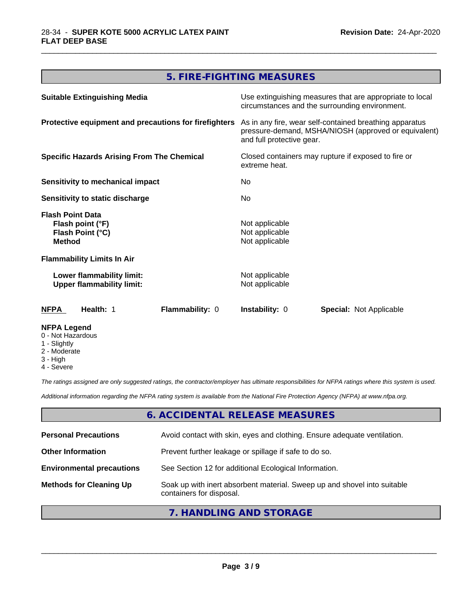## **5. FIRE-FIGHTING MEASURES**

\_\_\_\_\_\_\_\_\_\_\_\_\_\_\_\_\_\_\_\_\_\_\_\_\_\_\_\_\_\_\_\_\_\_\_\_\_\_\_\_\_\_\_\_\_\_\_\_\_\_\_\_\_\_\_\_\_\_\_\_\_\_\_\_\_\_\_\_\_\_\_\_\_\_\_\_\_\_\_\_\_\_\_\_\_\_\_\_\_\_\_\_\_

| <b>Suitable Extinguishing Media</b>                                              | Use extinguishing measures that are appropriate to local<br>circumstances and the surrounding environment.                                   |
|----------------------------------------------------------------------------------|----------------------------------------------------------------------------------------------------------------------------------------------|
| Protective equipment and precautions for firefighters                            | As in any fire, wear self-contained breathing apparatus<br>pressure-demand, MSHA/NIOSH (approved or equivalent)<br>and full protective gear. |
| <b>Specific Hazards Arising From The Chemical</b>                                | Closed containers may rupture if exposed to fire or<br>extreme heat.                                                                         |
| <b>Sensitivity to mechanical impact</b>                                          | No.                                                                                                                                          |
| Sensitivity to static discharge                                                  | No                                                                                                                                           |
| <b>Flash Point Data</b><br>Flash point (°F)<br>Flash Point (°C)<br><b>Method</b> | Not applicable<br>Not applicable<br>Not applicable                                                                                           |
| <b>Flammability Limits In Air</b>                                                |                                                                                                                                              |
| Lower flammability limit:<br><b>Upper flammability limit:</b>                    | Not applicable<br>Not applicable                                                                                                             |
| Flammability: 0<br>Health: 1<br>NFPA                                             | <b>Instability: 0</b><br><b>Special: Not Applicable</b>                                                                                      |
| <b>NFPA Legend</b><br>0 - Not Hazardous<br>1 - Slightly                          |                                                                                                                                              |

- 
- 2 Moderate
- 3 High
- 4 Severe

*The ratings assigned are only suggested ratings, the contractor/employer has ultimate responsibilities for NFPA ratings where this system is used.*

*Additional information regarding the NFPA rating system is available from the National Fire Protection Agency (NFPA) at www.nfpa.org.*

#### **6. ACCIDENTAL RELEASE MEASURES**

| <b>Personal Precautions</b>      | Avoid contact with skin, eyes and clothing. Ensure adequate ventilation.                             |
|----------------------------------|------------------------------------------------------------------------------------------------------|
| <b>Other Information</b>         | Prevent further leakage or spillage if safe to do so.                                                |
| <b>Environmental precautions</b> | See Section 12 for additional Ecological Information.                                                |
| <b>Methods for Cleaning Up</b>   | Soak up with inert absorbent material. Sweep up and shovel into suitable<br>containers for disposal. |

#### **7. HANDLING AND STORAGE**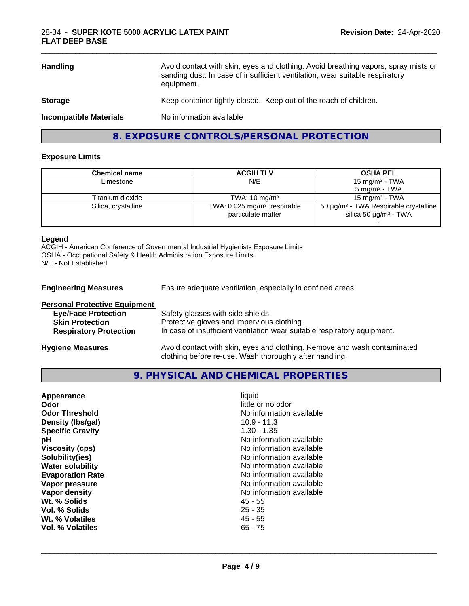| <b>Storage</b>                | equipment.<br>Keep container tightly closed. Keep out of the reach of children. |
|-------------------------------|---------------------------------------------------------------------------------|
| <b>Incompatible Materials</b> | No information available                                                        |

\_\_\_\_\_\_\_\_\_\_\_\_\_\_\_\_\_\_\_\_\_\_\_\_\_\_\_\_\_\_\_\_\_\_\_\_\_\_\_\_\_\_\_\_\_\_\_\_\_\_\_\_\_\_\_\_\_\_\_\_\_\_\_\_\_\_\_\_\_\_\_\_\_\_\_\_\_\_\_\_\_\_\_\_\_\_\_\_\_\_\_\_\_

## **8. EXPOSURE CONTROLS/PERSONAL PROTECTION**

#### **Exposure Limits**

| <b>ACGIH TLV</b>                                                | <b>OSHA PEL</b>                                                                                  |
|-----------------------------------------------------------------|--------------------------------------------------------------------------------------------------|
| N/E                                                             | 15 mg/m <sup>3</sup> - TWA                                                                       |
|                                                                 | $5 \text{ ma/m}^3$ - TWA                                                                         |
| TWA: $10 \text{ ma/m}^3$                                        | $15 \text{ ma/m}^3$ - TWA                                                                        |
| TWA: $0.025$ mg/m <sup>3</sup> respirable<br>particulate matter | 50 $\mu$ g/m <sup>3</sup> - TWA Respirable crystalline<br>silica 50 $\mu$ g/m <sup>3</sup> - TWA |
|                                                                 |                                                                                                  |

#### **Legend**

ACGIH - American Conference of Governmental Industrial Hygienists Exposure Limits OSHA - Occupational Safety & Health Administration Exposure Limits N/E - Not Established

| <b>Engineering Measures</b>                                                                                                   | Ensure adequate ventilation, especially in confined areas.                                                                                                  |
|-------------------------------------------------------------------------------------------------------------------------------|-------------------------------------------------------------------------------------------------------------------------------------------------------------|
| <b>Personal Protective Equipment</b><br><b>Eye/Face Protection</b><br><b>Skin Protection</b><br><b>Respiratory Protection</b> | Safety glasses with side-shields.<br>Protective gloves and impervious clothing.<br>In case of insufficient ventilation wear suitable respiratory equipment. |
| <b>Hygiene Measures</b>                                                                                                       | Avoid contact with skin, eyes and clothing. Remove and wash contaminated                                                                                    |

clothing before re-use. Wash thoroughly after handling.

## **9. PHYSICAL AND CHEMICAL PROPERTIES**

| Appearance<br>Odor<br><b>Odor Threshold</b><br>Density (Ibs/gal)<br><b>Specific Gravity</b><br>рH<br><b>Viscosity (cps)</b> | liquid<br>little or no odor<br>No information available<br>$10.9 - 11.3$<br>$1.30 - 1.35$<br>No information available<br>No information available<br>No information available |
|-----------------------------------------------------------------------------------------------------------------------------|-------------------------------------------------------------------------------------------------------------------------------------------------------------------------------|
| Solubility(ies)<br><b>Water solubility</b>                                                                                  | No information available                                                                                                                                                      |
| <b>Evaporation Rate</b>                                                                                                     | No information available                                                                                                                                                      |
| Vapor pressure                                                                                                              | No information available                                                                                                                                                      |
| Vapor density                                                                                                               | No information available                                                                                                                                                      |
| Wt. % Solids                                                                                                                | 45 - 55                                                                                                                                                                       |
| Vol. % Solids                                                                                                               | $25 - 35$                                                                                                                                                                     |
| Wt. % Volatiles                                                                                                             | $45 - 55$                                                                                                                                                                     |
| Vol. % Volatiles                                                                                                            | $65 - 75$                                                                                                                                                                     |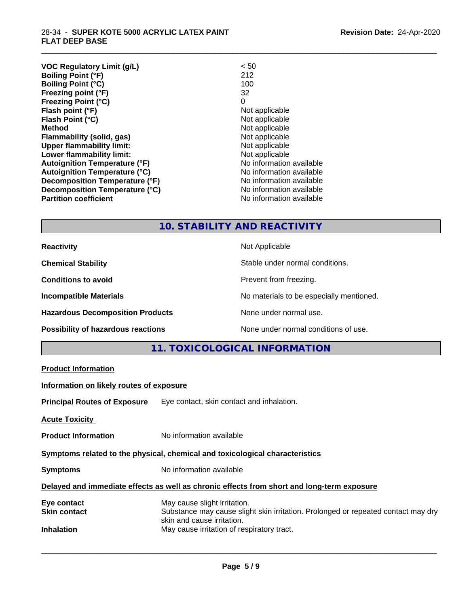#### 28-34 - **SUPER KOTE 5000 ACRYLIC LATEX PAINT FLAT DEEP BASE**

| <b>VOC Regulatory Limit (g/L)</b>    | < 50                     |
|--------------------------------------|--------------------------|
| <b>Boiling Point (°F)</b>            | 212                      |
| <b>Boiling Point (°C)</b>            | 100                      |
| Freezing point (°F)                  | 32                       |
| <b>Freezing Point (°C)</b>           | 0                        |
| Flash point (°F)                     | Not applicable           |
| Flash Point (°C)                     | Not applicable           |
| <b>Method</b>                        | Not applicable           |
| Flammability (solid, gas)            | Not applicable           |
| <b>Upper flammability limit:</b>     | Not applicable           |
| Lower flammability limit:            | Not applicable           |
| <b>Autoignition Temperature (°F)</b> | No information available |
| <b>Autoignition Temperature (°C)</b> | No information available |
| Decomposition Temperature (°F)       | No information available |
| Decomposition Temperature (°C)       | No information available |
| <b>Partition coefficient</b>         | No information available |
|                                      |                          |

## **10. STABILITY AND REACTIVITY**

\_\_\_\_\_\_\_\_\_\_\_\_\_\_\_\_\_\_\_\_\_\_\_\_\_\_\_\_\_\_\_\_\_\_\_\_\_\_\_\_\_\_\_\_\_\_\_\_\_\_\_\_\_\_\_\_\_\_\_\_\_\_\_\_\_\_\_\_\_\_\_\_\_\_\_\_\_\_\_\_\_\_\_\_\_\_\_\_\_\_\_\_\_

| <b>Reactivity</b>                         | Not Applicable                           |
|-------------------------------------------|------------------------------------------|
| <b>Chemical Stability</b>                 | Stable under normal conditions.          |
| <b>Conditions to avoid</b>                | Prevent from freezing.                   |
| <b>Incompatible Materials</b>             | No materials to be especially mentioned. |
| <b>Hazardous Decomposition Products</b>   | None under normal use.                   |
| <b>Possibility of hazardous reactions</b> | None under normal conditions of use.     |

## **11. TOXICOLOGICAL INFORMATION**

|                                                                                            | TT. TUAICULUGICAL INFURMATION                                                                                                                   |  |
|--------------------------------------------------------------------------------------------|-------------------------------------------------------------------------------------------------------------------------------------------------|--|
| <b>Product Information</b>                                                                 |                                                                                                                                                 |  |
| Information on likely routes of exposure                                                   |                                                                                                                                                 |  |
|                                                                                            | <b>Principal Routes of Exposure</b> Eye contact, skin contact and inhalation.                                                                   |  |
| <b>Acute Toxicity</b>                                                                      |                                                                                                                                                 |  |
| <b>Product Information</b>                                                                 | No information available                                                                                                                        |  |
| Symptoms related to the physical, chemical and toxicological characteristics               |                                                                                                                                                 |  |
| <b>Symptoms</b>                                                                            | No information available                                                                                                                        |  |
| Delayed and immediate effects as well as chronic effects from short and long-term exposure |                                                                                                                                                 |  |
| Eye contact<br><b>Skin contact</b>                                                         | May cause slight irritation.<br>Substance may cause slight skin irritation. Prolonged or repeated contact may dry<br>skin and cause irritation. |  |
| <b>Inhalation</b>                                                                          | May cause irritation of respiratory tract.                                                                                                      |  |
|                                                                                            |                                                                                                                                                 |  |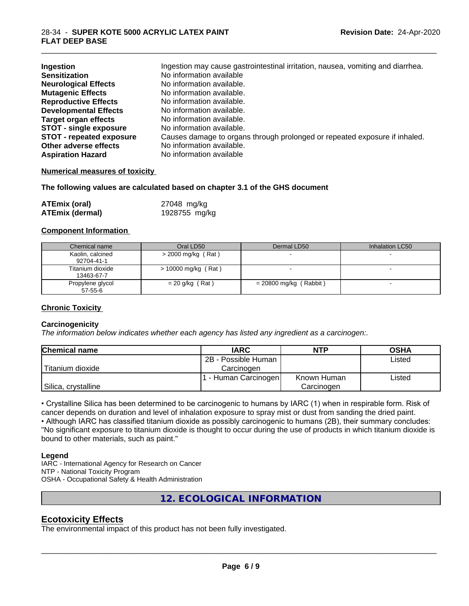| Ingestion                       | Ingestion may cause gastrointestinal irritation, nausea, vomiting and diarrhea. |
|---------------------------------|---------------------------------------------------------------------------------|
| <b>Sensitization</b>            | No information available                                                        |
| <b>Neurological Effects</b>     | No information available.                                                       |
| <b>Mutagenic Effects</b>        | No information available.                                                       |
| <b>Reproductive Effects</b>     | No information available.                                                       |
| <b>Developmental Effects</b>    | No information available.                                                       |
| <b>Target organ effects</b>     | No information available.                                                       |
| <b>STOT - single exposure</b>   | No information available.                                                       |
| <b>STOT - repeated exposure</b> | Causes damage to organs through prolonged or repeated exposure if inhaled.      |
| Other adverse effects           | No information available.                                                       |
| <b>Aspiration Hazard</b>        | No information available                                                        |

\_\_\_\_\_\_\_\_\_\_\_\_\_\_\_\_\_\_\_\_\_\_\_\_\_\_\_\_\_\_\_\_\_\_\_\_\_\_\_\_\_\_\_\_\_\_\_\_\_\_\_\_\_\_\_\_\_\_\_\_\_\_\_\_\_\_\_\_\_\_\_\_\_\_\_\_\_\_\_\_\_\_\_\_\_\_\_\_\_\_\_\_\_

#### **Numerical measures of toxicity**

**The following values are calculated based on chapter 3.1 of the GHS document**

| <b>ATEmix (oral)</b>   | 27048 mg/kg   |  |
|------------------------|---------------|--|
| <b>ATEmix (dermal)</b> | 1928755 mg/kg |  |

#### **Component Information**

| Chemical name                  | Oral LD50            | Dermal LD50            | Inhalation LC50 |
|--------------------------------|----------------------|------------------------|-----------------|
| Kaolin, calcined<br>92704-41-1 | $>$ 2000 mg/kg (Rat) |                        |                 |
| Titanium dioxide<br>13463-67-7 | > 10000 mg/kg (Rat)  |                        |                 |
| Propylene glycol<br>57-55-6    | $= 20$ g/kg (Rat)    | = 20800 mg/kg (Rabbit) |                 |

#### **Chronic Toxicity**

#### **Carcinogenicity**

*The information below indicateswhether each agency has listed any ingredient as a carcinogen:.*

| <b>Chemical name</b> | <b>IARC</b>         | <b>NTP</b>  | <b>OSHA</b> |
|----------------------|---------------------|-------------|-------------|
|                      | 2B - Possible Human |             | Listed      |
| Titanium dioxide     | Carcinoɑen          |             |             |
|                      | - Human Carcinogen  | Known Human | Listed      |
| Silica, crystalline  |                     | Carcinogen  |             |

• Crystalline Silica has been determined to be carcinogenic to humans by IARC (1) when in respirable form. Risk of cancer depends on duration and level of inhalation exposure to spray mist or dust from sanding the dried paint.

• Although IARC has classified titanium dioxide as possibly carcinogenic to humans (2B), their summary concludes: "No significant exposure to titanium dioxide is thought to occur during the use of products in which titanium dioxide is bound to other materials, such as paint."

#### **Legend**

IARC - International Agency for Research on Cancer NTP - National Toxicity Program OSHA - Occupational Safety & Health Administration

**12. ECOLOGICAL INFORMATION**

### **Ecotoxicity Effects**

The environmental impact of this product has not been fully investigated.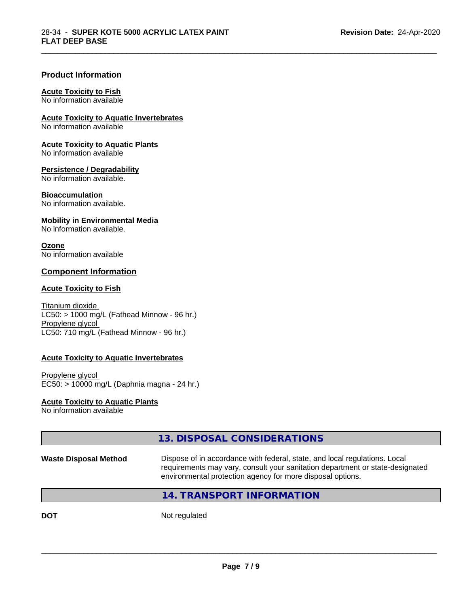#### **Product Information**

#### **Acute Toxicity to Fish**

No information available

**Acute Toxicity to Aquatic Invertebrates**

No information available

**Acute Toxicity to Aquatic Plants** No information available

## **Persistence / Degradability**

No information available.

#### **Bioaccumulation**

No information available.

#### **Mobility in Environmental Media**

No information available.

#### **Ozone**

No information available

#### **Component Information**

#### **Acute Toxicity to Fish**

Titanium dioxide  $LC50:$  > 1000 mg/L (Fathead Minnow - 96 hr.) Propylene glycol LC50: 710 mg/L (Fathead Minnow - 96 hr.)

#### **Acute Toxicity to Aquatic Invertebrates**

Propylene glycol EC50: > 10000 mg/L (Daphnia magna - 24 hr.)

#### **Acute Toxicity to Aquatic Plants**

No information available

## **13. DISPOSAL CONSIDERATIONS**

**Waste Disposal Method** Dispose of in accordance with federal, state, and local regulations. Local requirements may vary, consult your sanitation department or state-designated environmental protection agency for more disposal options.

 $\overline{\phantom{a}}$  ,  $\overline{\phantom{a}}$  ,  $\overline{\phantom{a}}$  ,  $\overline{\phantom{a}}$  ,  $\overline{\phantom{a}}$  ,  $\overline{\phantom{a}}$  ,  $\overline{\phantom{a}}$  ,  $\overline{\phantom{a}}$  ,  $\overline{\phantom{a}}$  ,  $\overline{\phantom{a}}$  ,  $\overline{\phantom{a}}$  ,  $\overline{\phantom{a}}$  ,  $\overline{\phantom{a}}$  ,  $\overline{\phantom{a}}$  ,  $\overline{\phantom{a}}$  ,  $\overline{\phantom{a}}$ 

\_\_\_\_\_\_\_\_\_\_\_\_\_\_\_\_\_\_\_\_\_\_\_\_\_\_\_\_\_\_\_\_\_\_\_\_\_\_\_\_\_\_\_\_\_\_\_\_\_\_\_\_\_\_\_\_\_\_\_\_\_\_\_\_\_\_\_\_\_\_\_\_\_\_\_\_\_\_\_\_\_\_\_\_\_\_\_\_\_\_\_\_\_

## **14. TRANSPORT INFORMATION**

**DOT** Not regulated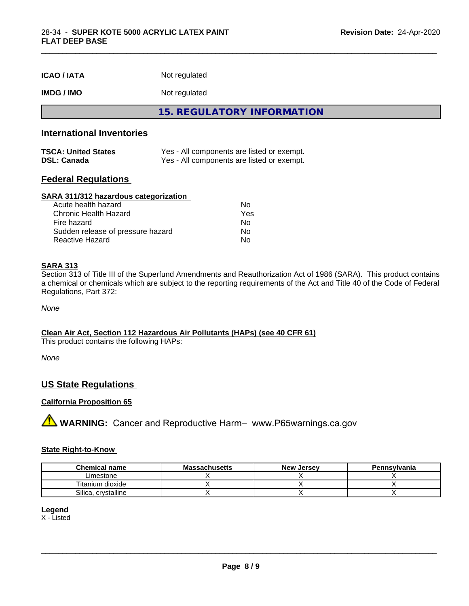| <b>ICAO/IATA</b> | Not regulated |
|------------------|---------------|
|------------------|---------------|

#### **IMDG / IMO** Not regulated

**15. REGULATORY INFORMATION**

\_\_\_\_\_\_\_\_\_\_\_\_\_\_\_\_\_\_\_\_\_\_\_\_\_\_\_\_\_\_\_\_\_\_\_\_\_\_\_\_\_\_\_\_\_\_\_\_\_\_\_\_\_\_\_\_\_\_\_\_\_\_\_\_\_\_\_\_\_\_\_\_\_\_\_\_\_\_\_\_\_\_\_\_\_\_\_\_\_\_\_\_\_

## **International Inventories**

| <b>TSCA: United States</b> | Yes - All components are listed or exempt. |
|----------------------------|--------------------------------------------|
| <b>DSL: Canada</b>         | Yes - All components are listed or exempt. |

#### **Federal Regulations**

#### **SARA 311/312 hazardous categorization**

| Acute health hazard               | N٥  |
|-----------------------------------|-----|
| Chronic Health Hazard             | Yes |
| Fire hazard                       | Nο  |
| Sudden release of pressure hazard | Nο  |
| Reactive Hazard                   | N٥  |

#### **SARA 313**

Section 313 of Title III of the Superfund Amendments and Reauthorization Act of 1986 (SARA). This product contains a chemical or chemicals which are subject to the reporting requirements of the Act and Title 40 of the Code of Federal Regulations, Part 372:

*None*

#### **Clean Air Act,Section 112 Hazardous Air Pollutants (HAPs) (see 40 CFR 61)**

This product contains the following HAPs:

*None*

### **US State Regulations**

#### **California Proposition 65**

**A** WARNING: Cancer and Reproductive Harm– www.P65warnings.ca.gov

#### **State Right-to-Know**

| <b>Chemical name</b>  | <b>Massachusetts</b> | New<br>. Jersev | Pennsylvania |
|-----------------------|----------------------|-----------------|--------------|
| Limestone             |                      |                 |              |
| Titanium dioxide      |                      |                 |              |
| Silica<br>crystalline |                      |                 |              |

#### **Legend**

X - Listed